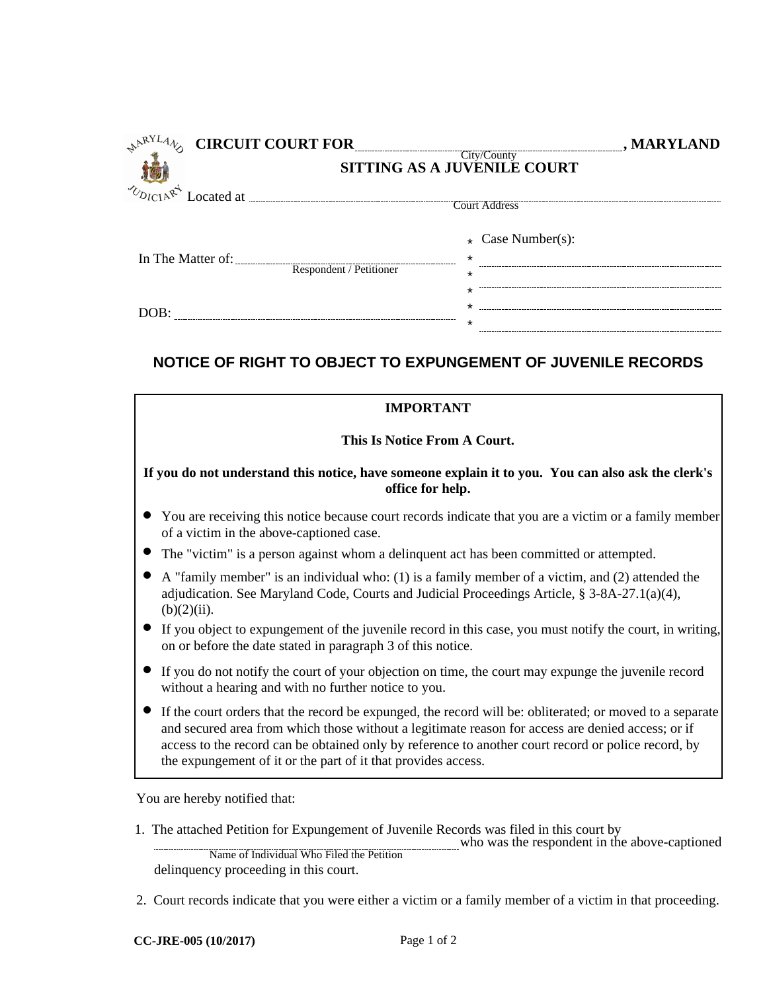| <b>CIRCUIT COURT FOR</b> |                                    |                                               | , MARYLAND |
|--------------------------|------------------------------------|-----------------------------------------------|------------|
|                          | <b>SITTING AS A JUVENILE COURT</b> |                                               |            |
| UDICIARY<br>Located at   |                                    | Court Address                                 |            |
| In The Matter of:        | Respondent / Petitioner            | $\star$ Case Number(s):<br>$\star$<br>$\star$ |            |
|                          |                                    | $^\star$<br>*                                 |            |

## **NOTICE OF RIGHT TO OBJECT TO EXPUNGEMENT OF JUVENILE RECORDS**

| <b>IMPORTANT</b>                                                                                                                                                                                                                                                                                                                                                                        |  |  |  |
|-----------------------------------------------------------------------------------------------------------------------------------------------------------------------------------------------------------------------------------------------------------------------------------------------------------------------------------------------------------------------------------------|--|--|--|
| This Is Notice From A Court.                                                                                                                                                                                                                                                                                                                                                            |  |  |  |
| If you do not understand this notice, have someone explain it to you. You can also ask the clerk's<br>office for help.                                                                                                                                                                                                                                                                  |  |  |  |
| • You are receiving this notice because court records indicate that you are a victim or a family member<br>of a victim in the above-captioned case.                                                                                                                                                                                                                                     |  |  |  |
| • The "victim" is a person against whom a delinquent act has been committed or attempted.                                                                                                                                                                                                                                                                                               |  |  |  |
| $\bullet$<br>A "family member" is an individual who: (1) is a family member of a victim, and (2) attended the<br>adjudication. See Maryland Code, Courts and Judicial Proceedings Article, § 3-8A-27.1(a)(4),<br>$(b)(2)(ii)$ .                                                                                                                                                         |  |  |  |
| • If you object to expundement of the juvenile record in this case, you must notify the court, in writing,<br>on or before the date stated in paragraph 3 of this notice.                                                                                                                                                                                                               |  |  |  |
| • If you do not notify the court of your objection on time, the court may expunge the juvenile record<br>without a hearing and with no further notice to you.                                                                                                                                                                                                                           |  |  |  |
| • If the court orders that the record be expunged, the record will be: obliterated; or moved to a separate<br>and secured area from which those without a legitimate reason for access are denied access; or if<br>access to the record can be obtained only by reference to another court record or police record, by<br>the expungement of it or the part of it that provides access. |  |  |  |

You are hereby notified that:

1. The attached Petition for Expungement of Juvenile Records was filed in this court by

who was the respondent in the above-captioned Name of Individual Who Filed the Petition

delinquency proceeding in this court.

2. Court records indicate that you were either a victim or a family member of a victim in that proceeding.